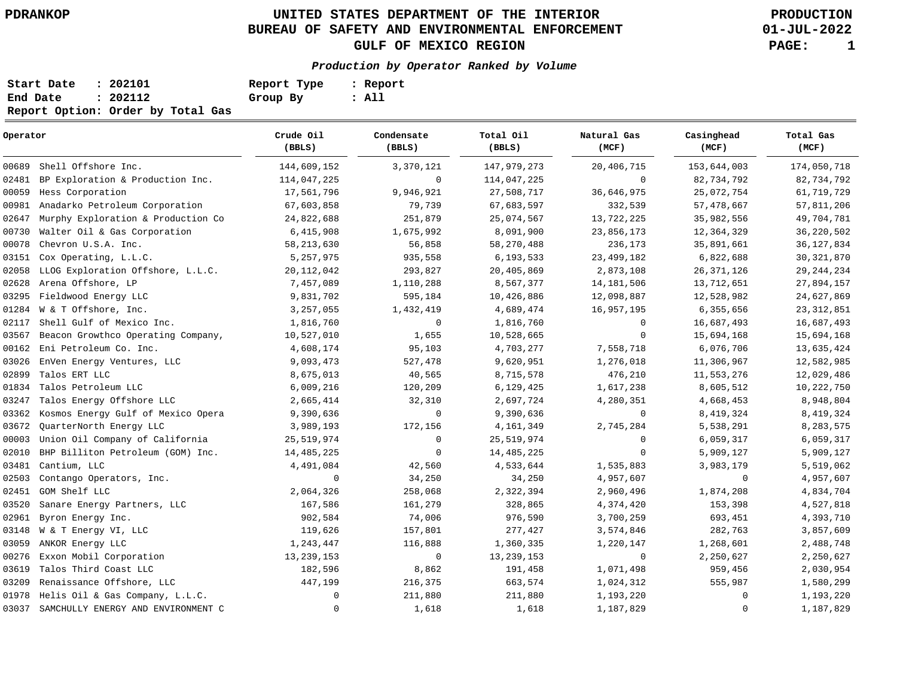# **UNITED STATES DEPARTMENT OF THE INTERIOR PDRANKOP PRODUCTION BUREAU OF SAFETY AND ENVIRONMENTAL ENFORCEMENT GULF OF MEXICO REGION PAGE: 1**

**01-JUL-2022**

### **Production by Operator Ranked by Volume**

| Start Date | : 202101                          | Report Type | : Report |
|------------|-----------------------------------|-------------|----------|
| End Date   | : 202112                          | Group By    | : All    |
|            | Report Option: Order by Total Gas |             |          |

| Operator |                                    | Crude Oil<br>(BBLS) | Condensate<br>(BBLS) | Total Oil<br>(BBLS) | Natural Gas<br>(MCF) | Casinghead<br>(MCF) | Total Gas<br>(MCF) |  |
|----------|------------------------------------|---------------------|----------------------|---------------------|----------------------|---------------------|--------------------|--|
| 00689    | Shell Offshore Inc.                | 144,609,152         | 3,370,121            | 147,979,273         | 20,406,715           | 153,644,003         | 174,050,718        |  |
| 02481    | BP Exploration & Production Inc.   | 114,047,225         | $\mathbf 0$          | 114,047,225         | $\Omega$             | 82,734,792          | 82,734,792         |  |
| 00059    | Hess Corporation                   | 17,561,796          | 9,946,921            | 27,508,717          | 36,646,975           | 25,072,754          | 61,719,729         |  |
| 00981    | Anadarko Petroleum Corporation     | 67,603,858          | 79,739               | 67,683,597          | 332,539              | 57,478,667          | 57,811,206         |  |
| 02647    | Murphy Exploration & Production Co | 24,822,688          | 251,879              | 25,074,567          | 13,722,225           | 35,982,556          | 49,704,781         |  |
| 00730    | Walter Oil & Gas Corporation       | 6,415,908           | 1,675,992            | 8,091,900           | 23,856,173           | 12,364,329          | 36, 220, 502       |  |
| 00078    | Chevron U.S.A. Inc.                | 58, 213, 630        | 56,858               | 58, 270, 488        | 236,173              | 35,891,661          | 36, 127, 834       |  |
| 03151    | Cox Operating, L.L.C.              | 5,257,975           | 935,558              | 6,193,533           | 23, 499, 182         | 6,822,688           | 30, 321, 870       |  |
| 02058    | LLOG Exploration Offshore, L.L.C.  | 20, 112, 042        | 293,827              | 20,405,869          | 2,873,108            | 26, 371, 126        | 29, 244, 234       |  |
| 02628    | Arena Offshore, LP                 | 7,457,089           | 1,110,288            | 8,567,377           | 14, 181, 506         | 13,712,651          | 27,894,157         |  |
| 03295    | Fieldwood Energy LLC               | 9,831,702           | 595,184              | 10,426,886          | 12,098,887           | 12,528,982          | 24,627,869         |  |
| 01284    | W & T Offshore, Inc.               | 3,257,055           | 1,432,419            | 4,689,474           | 16,957,195           | 6,355,656           | 23, 312, 851       |  |
| 02117    | Shell Gulf of Mexico Inc.          | 1,816,760           | $\mathbf 0$          | 1,816,760           | $\mathbf 0$          | 16,687,493          | 16,687,493         |  |
| 03567    | Beacon Growthco Operating Company, | 10,527,010          | 1,655                | 10,528,665          | $\mathbf 0$          | 15,694,168          | 15,694,168         |  |
| 00162    | Eni Petroleum Co. Inc.             | 4,608,174           | 95,103               | 4,703,277           | 7,558,718            | 6,076,706           | 13,635,424         |  |
| 03026    | EnVen Energy Ventures, LLC         | 9,093,473           | 527,478              | 9,620,951           | 1,276,018            | 11,306,967          | 12,582,985         |  |
| 02899    | Talos ERT LLC                      | 8,675,013           | 40,565               | 8,715,578           | 476,210              | 11,553,276          | 12,029,486         |  |
| 01834    | Talos Petroleum LLC                | 6,009,216           | 120,209              | 6,129,425           | 1,617,238            | 8,605,512           | 10,222,750         |  |
| 03247    | Talos Energy Offshore LLC          | 2,665,414           | 32,310               | 2,697,724           | 4,280,351            | 4,668,453           | 8,948,804          |  |
| 03362    | Kosmos Energy Gulf of Mexico Opera | 9,390,636           | $\mathbf 0$          | 9,390,636           | $\mathbf 0$          | 8,419,324           | 8,419,324          |  |
| 03672    | OuarterNorth Energy LLC            | 3,989,193           | 172,156              | 4,161,349           | 2,745,284            | 5,538,291           | 8,283,575          |  |
| 00003    | Union Oil Company of California    | 25,519,974          | $\mathbf 0$          | 25,519,974          | $\mathbf 0$          | 6,059,317           | 6,059,317          |  |
| 02010    | BHP Billiton Petroleum (GOM) Inc.  | 14,485,225          | $\mathbf 0$          | 14, 485, 225        | $\mathbf 0$          | 5,909,127           | 5,909,127          |  |
| 03481    | Cantium, LLC                       | 4,491,084           | 42,560               | 4,533,644           | 1,535,883            | 3,983,179           | 5,519,062          |  |
| 02503    | Contango Operators, Inc.           | $\mathbf 0$         | 34,250               | 34,250              | 4,957,607            | $\mathbf 0$         | 4,957,607          |  |
| 02451    | GOM Shelf LLC                      | 2,064,326           | 258,068              | 2,322,394           | 2,960,496            | 1,874,208           | 4,834,704          |  |
| 03520    | Sanare Energy Partners, LLC        | 167,586             | 161,279              | 328,865             | 4,374,420            | 153,398             | 4,527,818          |  |
| 02961    | Byron Energy Inc.                  | 902,584             | 74,006               | 976,590             | 3,700,259            | 693,451             | 4,393,710          |  |
| 03148    | W & T Energy VI, LLC               | 119,626             | 157,801              | 277,427             | 3,574,846            | 282,763             | 3,857,609          |  |
| 03059    | ANKOR Energy LLC                   | 1,243,447           | 116,888              | 1,360,335           | 1,220,147            | 1,268,601           | 2,488,748          |  |
| 00276    | Exxon Mobil Corporation            | 13,239,153          | 0                    | 13, 239, 153        | 0                    | 2,250,627           | 2,250,627          |  |
| 03619    | Talos Third Coast LLC              | 182,596             | 8,862                | 191,458             | 1,071,498            | 959,456             | 2,030,954          |  |
| 03209    | Renaissance Offshore, LLC          | 447,199             | 216,375              | 663,574             | 1,024,312            | 555,987             | 1,580,299          |  |
| 01978    | Helis Oil & Gas Company, L.L.C.    | $\mathbf 0$         | 211,880              | 211,880             | 1,193,220            | $\Omega$            | 1,193,220          |  |
| 03037    | SAMCHULLY ENERGY AND ENVIRONMENT C | $\mathbf 0$         | 1,618                | 1,618               | 1,187,829            | $\Omega$            | 1,187,829          |  |